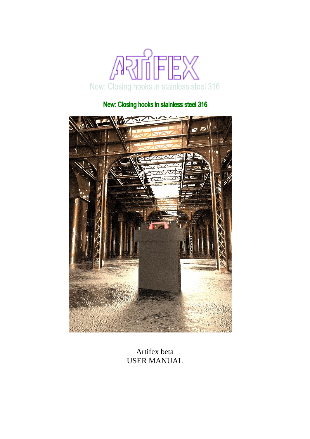

## New: Closing hooks in stainless steel 316



Artifex beta USER MANUAL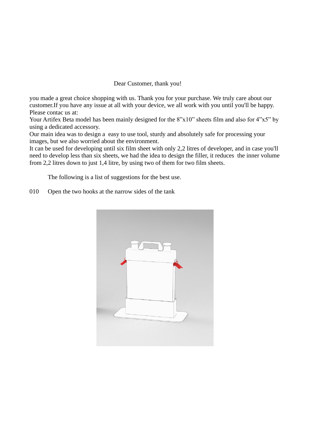## Dear Customer, thank you!

you made a great choice shopping with us. Thank you for your purchase. We truly care about our customer.If you have any issue at all with your device, we all work with you until you'll be happy. Please contac us at:

Your Artifex Beta model has been mainly designed for the 8"x10" sheets film and also for 4"x5" by using a dedicated accessory.

Our main idea was to design a easy to use tool, sturdy and absolutely safe for processing your images, but we also worried about the environment.

It can be used for developing until six film sheet with only 2,2 litres of developer, and in case you'll need to develop less than six sheets, we had the idea to design the filler, it reduces the inner volume from 2,2 litres down to just 1,4 litre, by using two of them for two film sheets.

The following is a list of suggestions for the best use.

010 Open the two hooks at the narrow sides of the tank

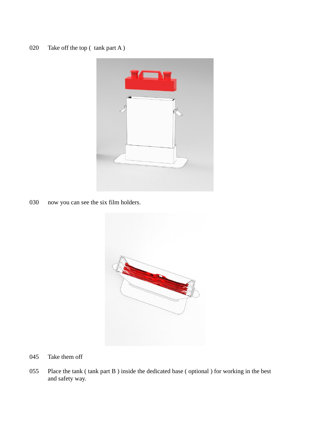

030 now you can see the six film holders.



- 045 Take them off
- 055 Place the tank ( tank part B ) inside the dedicated base ( optional ) for working in the best and safety way.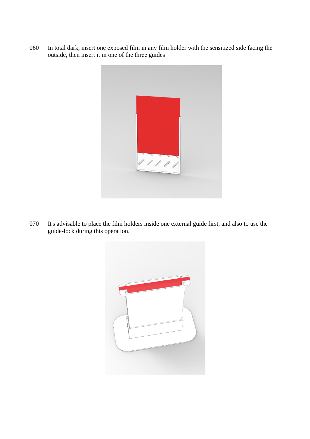060 In total dark, insert one exposed film in any film holder with the sensitized side facing the outside, then insert it in one of the three guides



070 It's advisable to place the film holders inside one external guide first, and also to use the guide-lock during this operation.

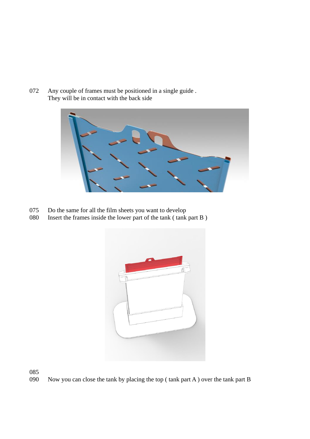072 Any couple of frames must be positioned in a single guide . They will be in contact with the back side



- 075 Do the same for all the film sheets you want to develop
- 080 Insert the frames inside the lower part of the tank ( tank part B )



085

090 Now you can close the tank by placing the top ( tank part A ) over the tank part B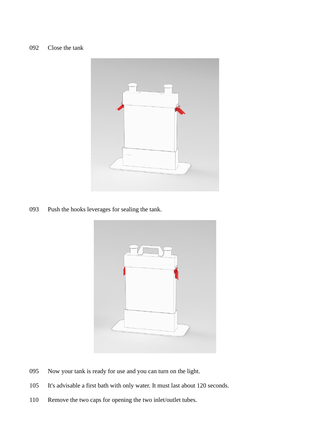

093 Push the hooks leverages for sealing the tank.



- 095 Now your tank is ready for use and you can turn on the light.
- 105 It's advisable a first bath with only water. It must last about 120 seconds.
- 110 Remove the two caps for opening the two inlet/outlet tubes.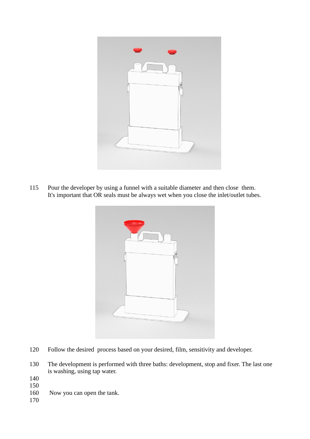

115 Pour the developer by using a funnel with a suitable diameter and then close them. It's important that OR seals must be always wet when you close the inlet/outlet tubes.



- 120 Follow the desired process based on your desired, film, sensitivity and developer.
- 130 The development is performed with three baths: development, stop and fixer. The last one is washing, using tap water.
- 140
- 150
- 160 Now you can open the tank.
- 170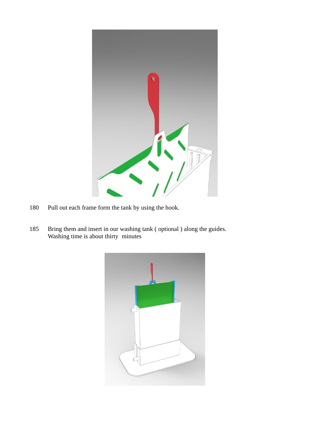

- Pull out each frame form the tank by using the hook.
- Bring them and insert in our washing tank ( optional ) along the guides. Washing time is about thirty minutes

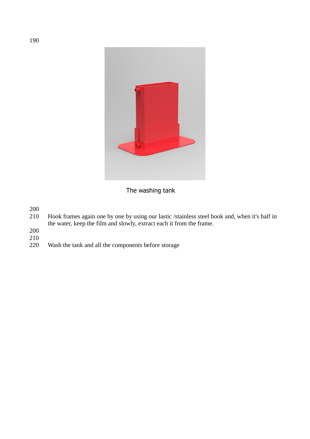

## The washing tank

200

- 210 Hook frames again one by one by using our lastic /stainless steel hook and, when it's half in the water, keep the film and slowly, extract each it from the frame.
- 200
- 210
- Wash the tank and all the components before storage